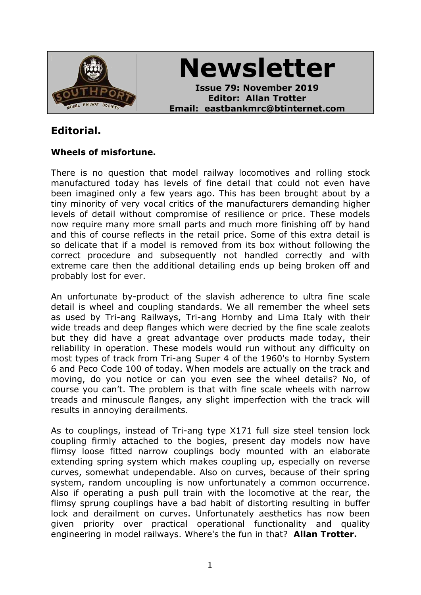

**Newsletter**

**Issue 79: November 2019 Editor: Allan Trotter Email: eastbankmrc@btinternet.com**

# **Editorial.**

### **Wheels of misfortune.**

There is no question that model railway locomotives and rolling stock manufactured today has levels of fine detail that could not even have been imagined only a few years ago. This has been brought about by a tiny minority of very vocal critics of the manufacturers demanding higher levels of detail without compromise of resilience or price. These models now require many more small parts and much more finishing off by hand and this of course reflects in the retail price. Some of this extra detail is so delicate that if a model is removed from its box without following the correct procedure and subsequently not handled correctly and with extreme care then the additional detailing ends up being broken off and probably lost for ever.

An unfortunate by-product of the slavish adherence to ultra fine scale detail is wheel and coupling standards. We all remember the wheel sets as used by Tri-ang Railways, Tri-ang Hornby and Lima Italy with their wide treads and deep flanges which were decried by the fine scale zealots but they did have a great advantage over products made today, their reliability in operation. These models would run without any difficulty on most types of track from Tri-ang Super 4 of the 1960's to Hornby System 6 and Peco Code 100 of today. When models are actually on the track and moving, do you notice or can you even see the wheel details? No, of course you can't. The problem is that with fine scale wheels with narrow treads and minuscule flanges, any slight imperfection with the track will results in annoying derailments.

As to couplings, instead of Tri-ang type X171 full size steel tension lock coupling firmly attached to the bogies, present day models now have flimsy loose fitted narrow couplings body mounted with an elaborate extending spring system which makes coupling up, especially on reverse curves, somewhat undependable. Also on curves, because of their spring system, random uncoupling is now unfortunately a common occurrence. Also if operating a push pull train with the locomotive at the rear, the flimsy sprung couplings have a bad habit of distorting resulting in buffer lock and derailment on curves. Unfortunately aesthetics has now been given priority over practical operational functionality and quality engineering in model railways. Where's the fun in that? **Allan Trotter.**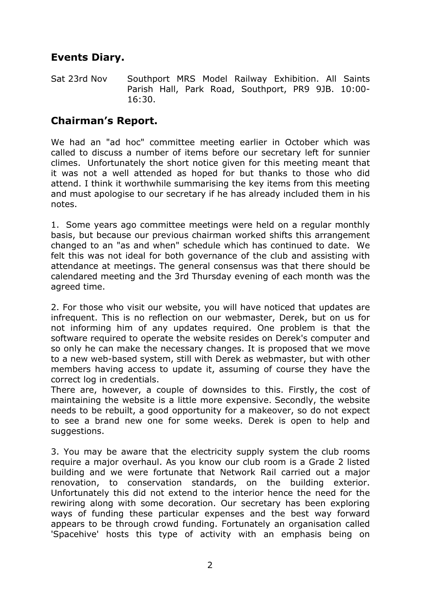## **Events Diary.**

Sat 23rd Nov Southport MRS Model Railway Exhibition. All Saints Parish Hall, Park Road, Southport, PR9 9JB. 10:00- 16:30.

## **Chairman's Report.**

We had an "ad hoc" committee meeting earlier in October which was called to discuss a number of items before our secretary left for sunnier climes. Unfortunately the short notice given for this meeting meant that it was not a well attended as hoped for but thanks to those who did attend. I think it worthwhile summarising the key items from this meeting and must apologise to our secretary if he has already included them in his notes.

1. Some years ago committee meetings were held on a regular monthly basis, but because our previous chairman worked shifts this arrangement changed to an "as and when" schedule which has continued to date. We felt this was not ideal for both governance of the club and assisting with attendance at meetings. The general consensus was that there should be calendared meeting and the 3rd Thursday evening of each month was the agreed time.

2. For those who visit our website, you will have noticed that updates are infrequent. This is no reflection on our webmaster, Derek, but on us for not informing him of any updates required. One problem is that the software required to operate the website resides on Derek's computer and so only he can make the necessary changes. It is proposed that we move to a new web-based system, still with Derek as webmaster, but with other members having access to update it, assuming of course they have the correct log in credentials.

There are, however, a couple of downsides to this. Firstly, the cost of maintaining the website is a little more expensive. Secondly, the website needs to be rebuilt, a good opportunity for a makeover, so do not expect to see a brand new one for some weeks. Derek is open to help and suggestions.

3. You may be aware that the electricity supply system the club rooms require a major overhaul. As you know our club room is a Grade 2 listed building and we were fortunate that Network Rail carried out a major renovation, to conservation standards, on the building exterior. Unfortunately this did not extend to the interior hence the need for the rewiring along with some decoration. Our secretary has been exploring ways of funding these particular expenses and the best way forward appears to be through crowd funding. Fortunately an organisation called 'Spacehive' hosts this type of activity with an emphasis being on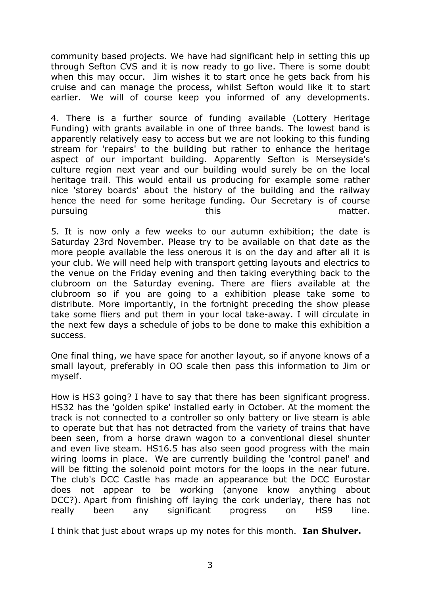community based projects. We have had significant help in setting this up through Sefton CVS and it is now ready to go live. There is some doubt when this may occur. Jim wishes it to start once he gets back from his cruise and can manage the process, whilst Sefton would like it to start earlier. We will of course keep you informed of any developments.

4. There is a further source of funding available (Lottery Heritage Funding) with grants available in one of three bands. The lowest band is apparently relatively easy to access but we are not looking to this funding stream for 'repairs' to the building but rather to enhance the heritage aspect of our important building. Apparently Sefton is Merseyside's culture region next year and our building would surely be on the local heritage trail. This would entail us producing for example some rather nice 'storey boards' about the history of the building and the railway hence the need for some heritage funding. Our Secretary is of course pursuing this this matter.

5. It is now only a few weeks to our autumn exhibition; the date is Saturday 23rd November. Please try to be available on that date as the more people available the less onerous it is on the day and after all it is your club. We will need help with transport getting layouts and electrics to the venue on the Friday evening and then taking everything back to the clubroom on the Saturday evening. There are fliers available at the clubroom so if you are going to a exhibition please take some to distribute. More importantly, in the fortnight preceding the show please take some fliers and put them in your local take-away. I will circulate in the next few days a schedule of jobs to be done to make this exhibition a success.

One final thing, we have space for another layout, so if anyone knows of a small layout, preferably in OO scale then pass this information to Jim or myself.

How is HS3 going? I have to say that there has been significant progress. HS32 has the 'golden spike' installed early in October. At the moment the track is not connected to a controller so only battery or live steam is able to operate but that has not detracted from the variety of trains that have been seen, from a horse drawn wagon to a conventional diesel shunter and even live steam. HS16.5 has also seen good progress with the main wiring looms in place. We are currently building the 'control panel' and will be fitting the solenoid point motors for the loops in the near future. The club's DCC Castle has made an appearance but the DCC Eurostar does not appear to be working (anyone know anything about DCC?). Apart from finishing off laying the cork underlay, there has not really been any significant progress on HS9 line.

I think that just about wraps up my notes for this month. **Ian Shulver.**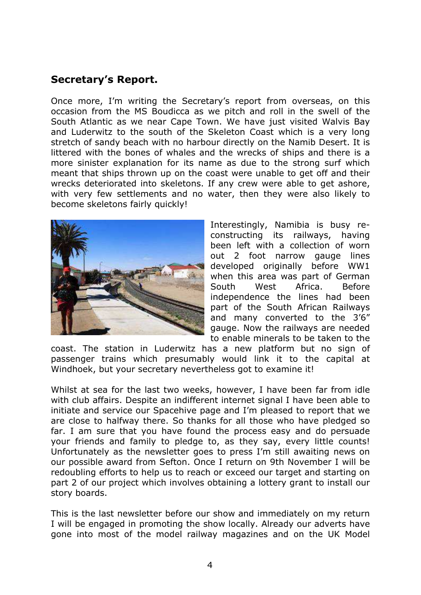## **Secretary's Report.**

Once more, I'm writing the Secretary's report from overseas, on this occasion from the MS Boudicca as we pitch and roll in the swell of the South Atlantic as we near Cape Town. We have just visited Walvis Bay and Luderwitz to the south of the Skeleton Coast which is a very long stretch of sandy beach with no harbour directly on the Namib Desert. It is littered with the bones of whales and the wrecks of ships and there is a more sinister explanation for its name as due to the strong surf which meant that ships thrown up on the coast were unable to get off and their wrecks deteriorated into skeletons. If any crew were able to get ashore, with very few settlements and no water, then they were also likely to become skeletons fairly quickly!



Interestingly, Namibia is busy reconstructing its railways, having been left with a collection of worn out 2 foot narrow gauge lines developed originally before WW1 when this area was part of German South West Africa. Before independence the lines had been part of the South African Railways and many converted to the 3'6" gauge. Now the railways are needed to enable minerals to be taken to the

coast. The station in Luderwitz has a new platform but no sign of passenger trains which presumably would link it to the capital at Windhoek, but your secretary nevertheless got to examine it!

Whilst at sea for the last two weeks, however, I have been far from idle with club affairs. Despite an indifferent internet signal I have been able to initiate and service our Spacehive page and I'm pleased to report that we are close to halfway there. So thanks for all those who have pledged so far. I am sure that you have found the process easy and do persuade your friends and family to pledge to, as they say, every little counts! Unfortunately as the newsletter goes to press I'm still awaiting news on our possible award from Sefton. Once I return on 9th November I will be redoubling efforts to help us to reach or exceed our target and starting on part 2 of our project which involves obtaining a lottery grant to install our story boards.

This is the last newsletter before our show and immediately on my return I will be engaged in promoting the show locally. Already our adverts have gone into most of the model railway magazines and on the UK Model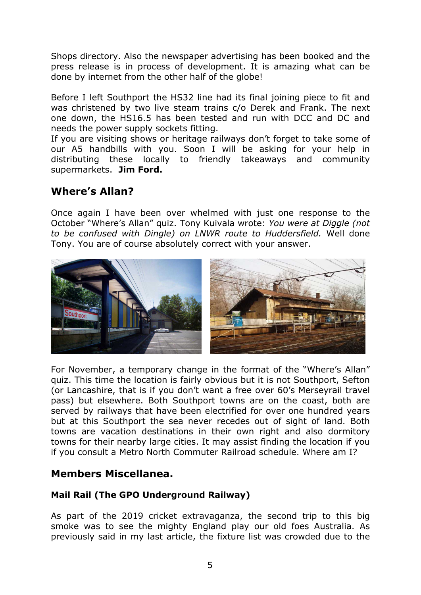Shops directory. Also the newspaper advertising has been booked and the press release is in process of development. It is amazing what can be done by internet from the other half of the globe!

Before I left Southport the HS32 line had its final joining piece to fit and was christened by two live steam trains c/o Derek and Frank. The next one down, the HS16.5 has been tested and run with DCC and DC and needs the power supply sockets fitting.

If you are visiting shows or heritage railways don't forget to take some of our A5 handbills with you. Soon I will be asking for your help in distributing these locally to friendly takeaways and community supermarkets. **Jim Ford.**

## **Where's Allan?**

Once again I have been over whelmed with just one response to the October "Where's Allan" quiz. Tony Kuivala wrote: *You were at Diggle (not to be confused with Dingle) on LNWR route to Huddersfield.* Well done Tony. You are of course absolutely correct with your answer.



For November, a temporary change in the format of the "Where's Allan" quiz. This time the location is fairly obvious but it is not Southport, Sefton (or Lancashire, that is if you don't want a free over 60's Merseyrail travel pass) but elsewhere. Both Southport towns are on the coast, both are served by railways that have been electrified for over one hundred years but at this Southport the sea never recedes out of sight of land. Both towns are vacation destinations in their own right and also dormitory towns for their nearby large cities. It may assist finding the location if you if you consult a Metro North Commuter Railroad schedule. Where am I?

### **Members Miscellanea.**

### **Mail Rail (The GPO Underground Railway)**

As part of the 2019 cricket extravaganza, the second trip to this big smoke was to see the mighty England play our old foes Australia. As previously said in my last article, the fixture list was crowded due to the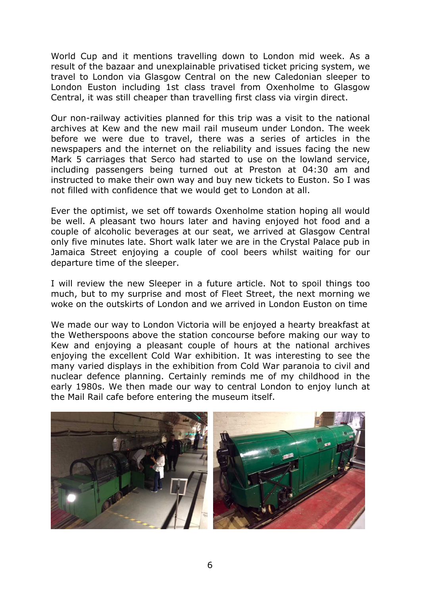World Cup and it mentions travelling down to London mid week. As a result of the bazaar and unexplainable privatised ticket pricing system, we travel to London via Glasgow Central on the new Caledonian sleeper to London Euston including 1st class travel from Oxenholme to Glasgow Central, it was still cheaper than travelling first class via virgin direct.

Our non-railway activities planned for this trip was a visit to the national archives at Kew and the new mail rail museum under London. The week before we were due to travel, there was a series of articles in the newspapers and the internet on the reliability and issues facing the new Mark 5 carriages that Serco had started to use on the lowland service, including passengers being turned out at Preston at 04:30 am and instructed to make their own way and buy new tickets to Euston. So I was not filled with confidence that we would get to London at all.

Ever the optimist, we set off towards Oxenholme station hoping all would be well. A pleasant two hours later and having enjoyed hot food and a couple of alcoholic beverages at our seat, we arrived at Glasgow Central only five minutes late. Short walk later we are in the Crystal Palace pub in Jamaica Street enjoying a couple of cool beers whilst waiting for our departure time of the sleeper.

I will review the new Sleeper in a future article. Not to spoil things too much, but to my surprise and most of Fleet Street, the next morning we woke on the outskirts of London and we arrived in London Euston on time

We made our way to London Victoria will be enjoyed a hearty breakfast at the Wetherspoons above the station concourse before making our way to Kew and enjoying a pleasant couple of hours at the national archives enjoying the excellent Cold War exhibition. It was interesting to see the many varied displays in the exhibition from Cold War paranoia to civil and nuclear defence planning. Certainly reminds me of my childhood in the early 1980s. We then made our way to central London to enjoy lunch at the Mail Rail cafe before entering the museum itself.

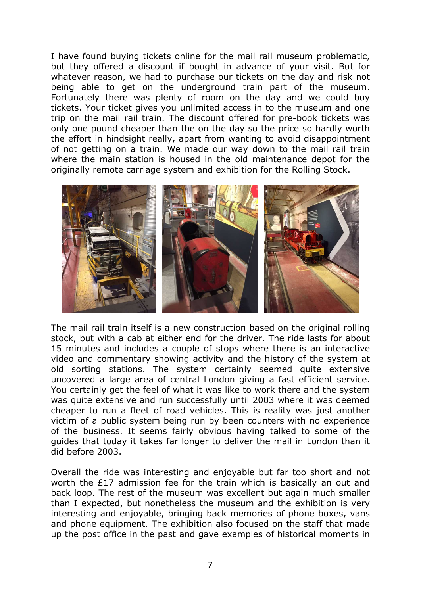I have found buying tickets online for the mail rail museum problematic, but they offered a discount if bought in advance of your visit. But for whatever reason, we had to purchase our tickets on the day and risk not being able to get on the underground train part of the museum. Fortunately there was plenty of room on the day and we could buy tickets. Your ticket gives you unlimited access in to the museum and one trip on the mail rail train. The discount offered for pre-book tickets was only one pound cheaper than the on the day so the price so hardly worth the effort in hindsight really, apart from wanting to avoid disappointment of not getting on a train. We made our way down to the mail rail train where the main station is housed in the old maintenance depot for the originally remote carriage system and exhibition for the Rolling Stock.



The mail rail train itself is a new construction based on the original rolling stock, but with a cab at either end for the driver. The ride lasts for about 15 minutes and includes a couple of stops where there is an interactive video and commentary showing activity and the history of the system at old sorting stations. The system certainly seemed quite extensive uncovered a large area of central London giving a fast efficient service. You certainly get the feel of what it was like to work there and the system was quite extensive and run successfully until 2003 where it was deemed cheaper to run a fleet of road vehicles. This is reality was just another victim of a public system being run by been counters with no experience of the business. It seems fairly obvious having talked to some of the guides that today it takes far longer to deliver the mail in London than it did before 2003.

Overall the ride was interesting and enjoyable but far too short and not worth the £17 admission fee for the train which is basically an out and back loop. The rest of the museum was excellent but again much smaller than I expected, but nonetheless the museum and the exhibition is very interesting and enjoyable, bringing back memories of phone boxes, vans and phone equipment. The exhibition also focused on the staff that made up the post office in the past and gave examples of historical moments in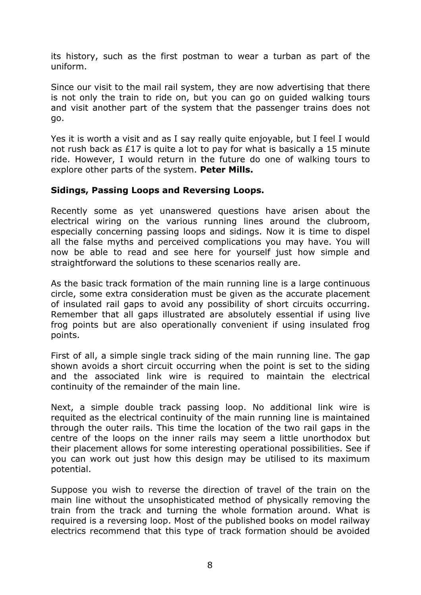its history, such as the first postman to wear a turban as part of the uniform.

Since our visit to the mail rail system, they are now advertising that there is not only the train to ride on, but you can go on guided walking tours and visit another part of the system that the passenger trains does not go.

Yes it is worth a visit and as I say really quite enjoyable, but I feel I would not rush back as £17 is quite a lot to pay for what is basically a 15 minute ride. However, I would return in the future do one of walking tours to explore other parts of the system. **Peter Mills.**

#### **Sidings, Passing Loops and Reversing Loops.**

Recently some as yet unanswered questions have arisen about the electrical wiring on the various running lines around the clubroom, especially concerning passing loops and sidings. Now it is time to dispel all the false myths and perceived complications you may have. You will now be able to read and see here for yourself just how simple and straightforward the solutions to these scenarios really are.

As the basic track formation of the main running line is a large continuous circle, some extra consideration must be given as the accurate placement of insulated rail gaps to avoid any possibility of short circuits occurring. Remember that all gaps illustrated are absolutely essential if using live frog points but are also operationally convenient if using insulated frog points.

First of all, a simple single track siding of the main running line. The gap shown avoids a short circuit occurring when the point is set to the siding and the associated link wire is required to maintain the electrical continuity of the remainder of the main line.

Next, a simple double track passing loop. No additional link wire is requited as the electrical continuity of the main running line is maintained through the outer rails. This time the location of the two rail gaps in the centre of the loops on the inner rails may seem a little unorthodox but their placement allows for some interesting operational possibilities. See if you can work out just how this design may be utilised to its maximum potential.

Suppose you wish to reverse the direction of travel of the train on the main line without the unsophisticated method of physically removing the train from the track and turning the whole formation around. What is required is a reversing loop. Most of the published books on model railway electrics recommend that this type of track formation should be avoided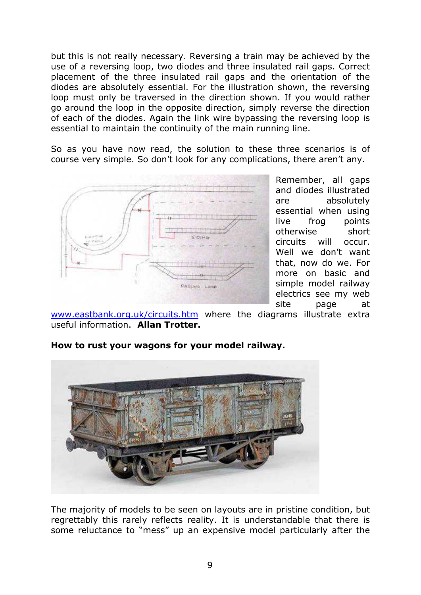but this is not really necessary. Reversing a train may be achieved by the use of a reversing loop, two diodes and three insulated rail gaps. Correct placement of the three insulated rail gaps and the orientation of the diodes are absolutely essential. For the illustration shown, the reversing loop must only be traversed in the direction shown. If you would rather go around the loop in the opposite direction, simply reverse the direction of each of the diodes. Again the link wire bypassing the reversing loop is essential to maintain the continuity of the main running line.

So as you have now read, the solution to these three scenarios is of course very simple. So don't look for any complications, there aren't any.



Remember, all gaps and diodes illustrated are absolutely essential when using live frog points otherwise short circuits will occur. Well we don't want that, now do we. For more on basic and simple model railway electrics see my web site page at

[www.eastbank.org.uk/circuits.htm](http://www.eastbank.org.uk/circuits.htm) where the diagrams illustrate extra useful information. **Allan Trotter.**

**How to rust your wagons for your model railway.**



The majority of models to be seen on layouts are in pristine condition, but regrettably this rarely reflects reality. It is understandable that there is some reluctance to "mess" up an expensive model particularly after the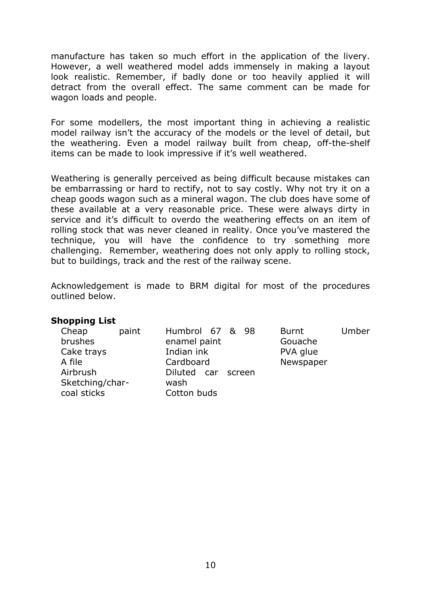manufacture has taken so much effort in the application of the livery. However, a well weathered model adds immensely in making a layout look realistic. Remember, if badly done or too heavily applied it will detract from the overall effect. The same comment can be made for wagon loads and people.

For some modellers, the most important thing in achieving a realistic model railway isn't the accuracy of the models or the level of detail, but the weathering. Even a model railway built from cheap, off-the-shelf items can be made to look impressive if it's well weathered.

Weathering is generally perceived as being difficult because mistakes can be embarrassing or hard to rectify, not to say costly. Why not try it on a cheap goods wagon such as a mineral wagon. The club does have some of these available at a very reasonable price. These were always dirty in service and it's difficult to overdo the weathering effects on an item of rolling stock that was never cleaned in reality. Once you've mastered the technique, you will have the confidence to try something more challenging. Remember, weathering does not only apply to rolling stock, but to buildings, track and the rest of the railway scene.

Acknowledgement is made to BRM digital for most of the procedures outlined below.

#### **Shopping List**

| Cheap<br>paint  | Humbrol 67 & 98    | Umber<br><b>Burnt</b> |
|-----------------|--------------------|-----------------------|
| brushes         | enamel paint       | Gouache               |
| Cake trays      | Indian ink         | PVA glue              |
| A file          | Cardboard          | Newspaper             |
| Airbrush        | Diluted car screen |                       |
| Sketching/char- | wash               |                       |
| coal sticks     | Cotton buds        |                       |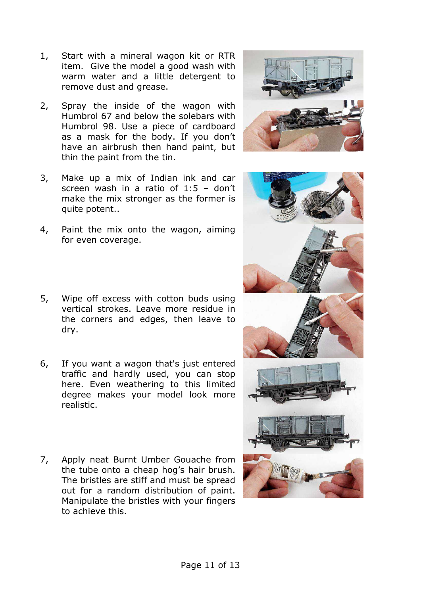- 1, Start with a mineral wagon kit or RTR item. Give the model a good wash with warm water and a little detergent to remove dust and grease.
- 2, Spray the inside of the wagon with Humbrol 67 and below the solebars with Humbrol 98. Use a piece of cardboard as a mask for the body. If you don't have an airbrush then hand paint, but thin the paint from the tin.
- 3, Make up a mix of Indian ink and car screen wash in a ratio of 1:5 – don't make the mix stronger as the former is quite potent..
- 4, Paint the mix onto the wagon, aiming for even coverage.
- 5, Wipe off excess with cotton buds using vertical strokes. Leave more residue in the corners and edges, then leave to dry.
- 6, If you want a wagon that's just entered traffic and hardly used, you can stop here. Even weathering to this limited degree makes your model look more realistic.
- 7, Apply neat Burnt Umber Gouache from the tube onto a cheap hog's hair brush. The bristles are stiff and must be spread out for a random distribution of paint. Manipulate the bristles with your fingers to achieve this.



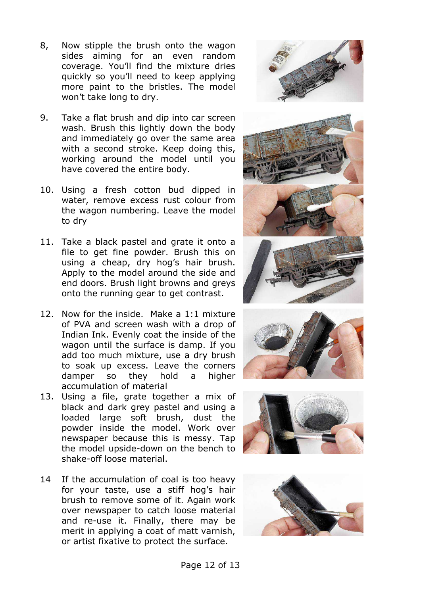- 8, Now stipple the brush onto the wagon sides aiming for an even random coverage. You'll find the mixture dries quickly so you'll need to keep applying more paint to the bristles. The model won't take long to dry.
- 9. Take a flat brush and dip into car screen wash. Brush this lightly down the body and immediately go over the same area with a second stroke. Keep doing this, working around the model until you have covered the entire body.
- 10. Using a fresh cotton bud dipped in water, remove excess rust colour from the wagon numbering. Leave the model to dry
- 11. Take a black pastel and grate it onto a file to get fine powder. Brush this on using a cheap, dry hog's hair brush. Apply to the model around the side and end doors. Brush light browns and greys onto the running gear to get contrast.
- 12. Now for the inside. Make a 1:1 mixture of PVA and screen wash with a drop of Indian Ink. Evenly coat the inside of the wagon until the surface is damp. If you add too much mixture, use a dry brush to soak up excess. Leave the corners damper so they hold a higher accumulation of material
- 13. Using a file, grate together a mix of black and dark grey pastel and using a loaded large soft brush, dust the powder inside the model. Work over newspaper because this is messy. Tap the model upside-down on the bench to shake-off loose material.
- 14 If the accumulation of coal is too heavy for your taste, use a stiff hog's hair brush to remove some of it. Again work over newspaper to catch loose material and re-use it. Finally, there may be merit in applying a coat of matt varnish, or artist fixative to protect the surface.